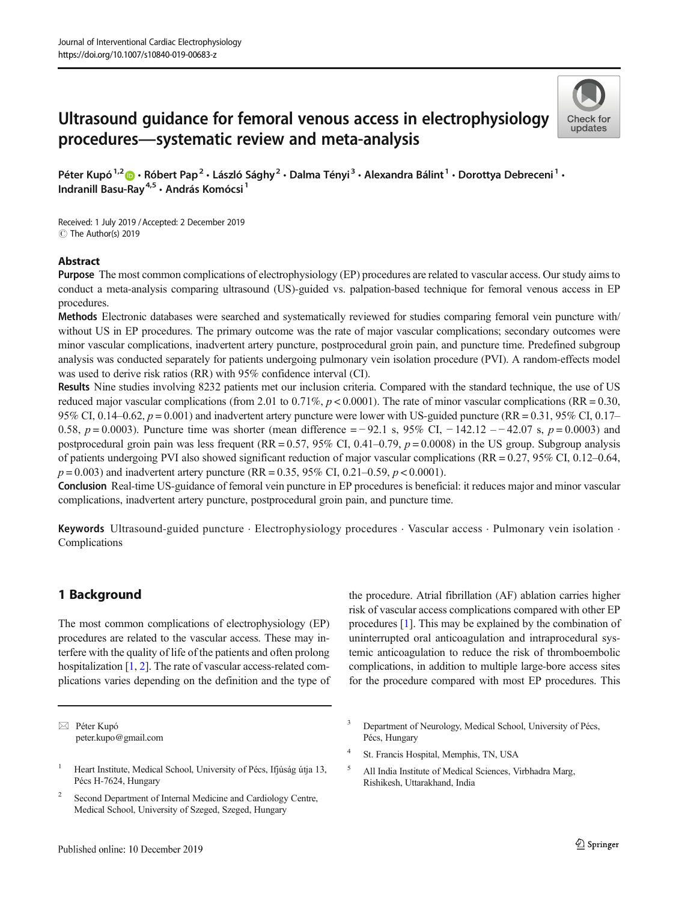# Ultrasound guidance for femoral venous access in electrophysiology procedures—systematic review and meta-analysis



Péter Kupó<sup>1,2</sup>  $\cdot$  Róbert Pap<sup>2</sup> · László Sághy<sup>2</sup> · Dalma Tényi<sup>3</sup> · Alexandra Bálint<sup>1</sup> · Dorottya Debreceni<sup>1</sup> · Indranill Basu-Rav<sup>4,5</sup> · András Komócsi<sup>1</sup>

Received: 1 July 2019 /Accepted: 2 December 2019 C The Author(s) 2019

#### Abstract

Purpose The most common complications of electrophysiology (EP) procedures are related to vascular access. Our study aims to conduct a meta-analysis comparing ultrasound (US)-guided vs. palpation-based technique for femoral venous access in EP procedures.

Methods Electronic databases were searched and systematically reviewed for studies comparing femoral vein puncture with/ without US in EP procedures. The primary outcome was the rate of major vascular complications; secondary outcomes were minor vascular complications, inadvertent artery puncture, postprocedural groin pain, and puncture time. Predefined subgroup analysis was conducted separately for patients undergoing pulmonary vein isolation procedure (PVI). A random-effects model was used to derive risk ratios (RR) with 95% confidence interval (CI).

Results Nine studies involving 8232 patients met our inclusion criteria. Compared with the standard technique, the use of US reduced major vascular complications (from 2.01 to 0.71%,  $p < 0.0001$ ). The rate of minor vascular complications (RR = 0.30, 95% CI, 0.14–0.62,  $p = 0.001$ ) and inadvertent artery puncture were lower with US-guided puncture (RR = 0.31, 95% CI, 0.17– 0.58,  $p = 0.0003$ ). Puncture time was shorter (mean difference = −92.1 s, 95% CI, −142.12 – −42.07 s,  $p = 0.0003$ ) and postprocedural groin pain was less frequent (RR = 0.57, 95% CI, 0.41–0.79,  $p = 0.0008$ ) in the US group. Subgroup analysis of patients undergoing PVI also showed significant reduction of major vascular complications (RR = 0.27, 95% CI, 0.12–0.64,  $p = 0.003$ ) and inadvertent artery puncture (RR = 0.35, 95% CI, 0.21–0.59,  $p < 0.0001$ ).

Conclusion Real-time US-guidance of femoral vein puncture in EP procedures is beneficial: it reduces major and minor vascular complications, inadvertent artery puncture, postprocedural groin pain, and puncture time.

Keywords Ultrasound-guided puncture · Electrophysiology procedures · Vascular access · Pulmonary vein isolation · Complications

## 1 Background

The most common complications of electrophysiology (EP) procedures are related to the vascular access. These may interfere with the quality of life of the patients and often prolong hospitalization  $[1, 2]$  $[1, 2]$  $[1, 2]$  $[1, 2]$ . The rate of vascular access-related complications varies depending on the definition and the type of

 $\boxtimes$  Péter Kupó [peter.kupo@gmail.com](mailto:peter.kupo@gmail.com) the procedure. Atrial fibrillation (AF) ablation carries higher risk of vascular access complications compared with other EP procedures [\[1](#page-6-0)]. This may be explained by the combination of uninterrupted oral anticoagulation and intraprocedural systemic anticoagulation to reduce the risk of thromboembolic complications, in addition to multiple large-bore access sites for the procedure compared with most EP procedures. This

- <sup>4</sup> St. Francis Hospital, Memphis, TN, USA
- <sup>5</sup> All India Institute of Medical Sciences, Virbhadra Marg, Rishikesh, Uttarakhand, India

<sup>&</sup>lt;sup>1</sup> Heart Institute, Medical School, University of Pécs, Ifjúság útja 13, Pécs H-7624, Hungary

<sup>&</sup>lt;sup>2</sup> Second Department of Internal Medicine and Cardiology Centre, Medical School, University of Szeged, Szeged, Hungary

<sup>&</sup>lt;sup>3</sup> Department of Neurology, Medical School, University of Pécs, Pécs, Hungary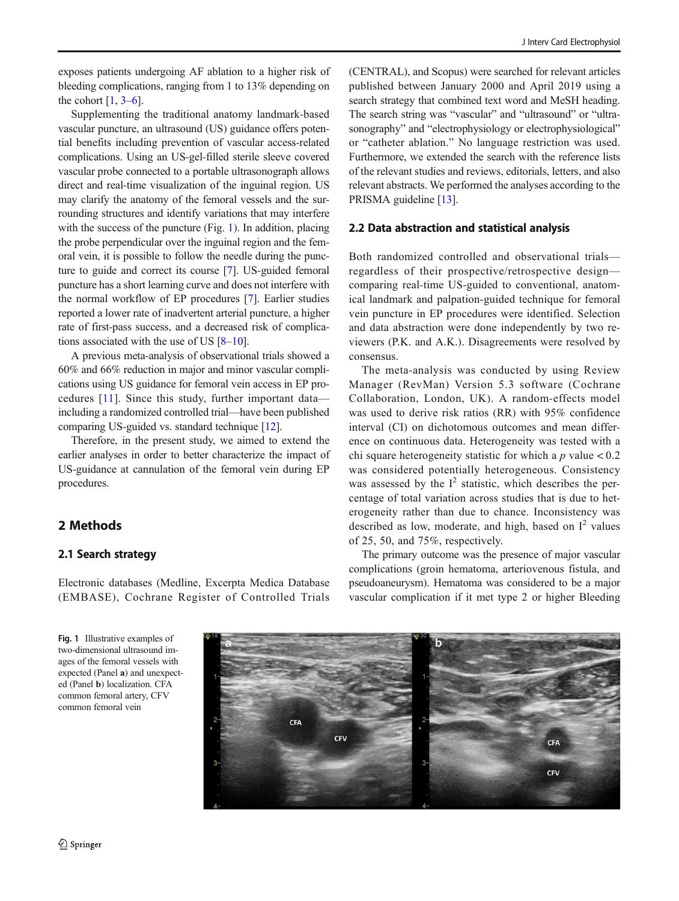exposes patients undergoing AF ablation to a higher risk of bleeding complications, ranging from 1 to 13% depending on the cohort  $[1, 3-6]$  $[1, 3-6]$  $[1, 3-6]$  $[1, 3-6]$  $[1, 3-6]$ .

Supplementing the traditional anatomy landmark-based vascular puncture, an ultrasound (US) guidance offers potential benefits including prevention of vascular access-related complications. Using an US-gel-filled sterile sleeve covered vascular probe connected to a portable ultrasonograph allows direct and real-time visualization of the inguinal region. US may clarify the anatomy of the femoral vessels and the surrounding structures and identify variations that may interfere with the success of the puncture (Fig. 1). In addition, placing the probe perpendicular over the inguinal region and the femoral vein, it is possible to follow the needle during the puncture to guide and correct its course [\[7\]](#page-6-0). US-guided femoral puncture has a short learning curve and does not interfere with the normal workflow of EP procedures [\[7](#page-6-0)]. Earlier studies reported a lower rate of inadvertent arterial puncture, a higher rate of first-pass success, and a decreased risk of complications associated with the use of US  $[8-10]$  $[8-10]$  $[8-10]$  $[8-10]$  $[8-10]$ .

A previous meta-analysis of observational trials showed a 60% and 66% reduction in major and minor vascular complications using US guidance for femoral vein access in EP procedures [[11](#page-6-0)]. Since this study, further important data including a randomized controlled trial—have been published comparing US-guided vs. standard technique [\[12](#page-6-0)].

Therefore, in the present study, we aimed to extend the earlier analyses in order to better characterize the impact of US-guidance at cannulation of the femoral vein during EP procedures.

# 2 Methods

#### 2.1 Search strategy

Electronic databases (Medline, Excerpta Medica Database (EMBASE), Cochrane Register of Controlled Trials

(CENTRAL), and Scopus) were searched for relevant articles published between January 2000 and April 2019 using a search strategy that combined text word and MeSH heading. The search string was "vascular" and "ultrasound" or "ultrasonography" and "electrophysiology or electrophysiological" or "catheter ablation." No language restriction was used. Furthermore, we extended the search with the reference lists of the relevant studies and reviews, editorials, letters, and also relevant abstracts. We performed the analyses according to the PRISMA guideline [[13\]](#page-6-0).

### 2.2 Data abstraction and statistical analysis

Both randomized controlled and observational trials regardless of their prospective/retrospective design comparing real-time US-guided to conventional, anatomical landmark and palpation-guided technique for femoral vein puncture in EP procedures were identified. Selection and data abstraction were done independently by two reviewers (P.K. and A.K.). Disagreements were resolved by consensus.

The meta-analysis was conducted by using Review Manager (RevMan) Version 5.3 software (Cochrane Collaboration, London, UK). A random-effects model was used to derive risk ratios (RR) with 95% confidence interval (CI) on dichotomous outcomes and mean difference on continuous data. Heterogeneity was tested with a chi square heterogeneity statistic for which a  $p$  value  $< 0.2$ was considered potentially heterogeneous. Consistency was assessed by the  $I^2$  statistic, which describes the percentage of total variation across studies that is due to heterogeneity rather than due to chance. Inconsistency was described as low, moderate, and high, based on  $I^2$  values of 25, 50, and 75%, respectively.

The primary outcome was the presence of major vascular complications (groin hematoma, arteriovenous fistula, and pseudoaneurysm). Hematoma was considered to be a major vascular complication if it met type 2 or higher Bleeding

Fig. 1 Illustrative examples of two-dimensional ultrasound images of the femoral vessels with expected (Panel a) and unexpected (Panel b) localization. CFA common femoral artery, CFV common femoral vein

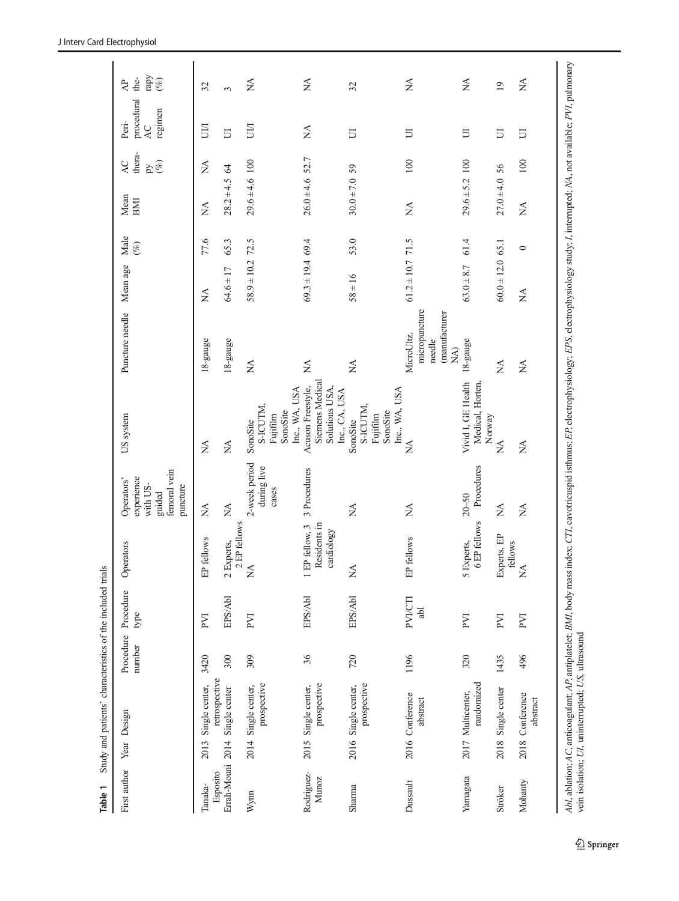<span id="page-2-0"></span>

| Table 1                                    | Study and patients' characteristics of the included trials |                     |                       |                                              |                                                                            |                                                                                                                                                                                                         |                                                                           |                      |             |                     |                                     |                                             |                                          |
|--------------------------------------------|------------------------------------------------------------|---------------------|-----------------------|----------------------------------------------|----------------------------------------------------------------------------|---------------------------------------------------------------------------------------------------------------------------------------------------------------------------------------------------------|---------------------------------------------------------------------------|----------------------|-------------|---------------------|-------------------------------------|---------------------------------------------|------------------------------------------|
| First author Year Design                   |                                                            | Procedure<br>number | Procedure<br>type     | Operators                                    | femoral vein<br>experience<br>Operators'<br>with US-<br>puncture<br>guided | US system                                                                                                                                                                                               | Puncture needle                                                           | Mean age             | Male<br>(%) | Mean<br>BMI         | thera-<br><b>AC</b><br>$(\%)$<br>ÞΥ | procedural<br>regimen<br>Peri-<br><b>AC</b> | rapy<br>the-<br>$($ %)<br>$\overline{A}$ |
| Tanaka-                                    | 2013 Single center,                                        | 3420                | PVI                   | fellows<br>EP                                | $\stackrel{\triangle}{\simeq}$                                             | Á                                                                                                                                                                                                       | 18-gauge                                                                  | MA                   | 77.6        | MA                  | $\mathbb{X}$                        | UЩ                                          | 32                                       |
| Errah-Mouni 2014 Single center<br>Esposito | retrospective                                              | 300                 | EPS/Abl               | EP fellows<br>2 Experts,<br>$\mathbf{C}$     | $\stackrel{\triangle}{\simeq}$                                             | $\lessapprox$                                                                                                                                                                                           | 18-gauge                                                                  | $64.6 \pm 17$        | 65.3        | $28.2 \pm 4.5$      | $\mathcal{L}$                       | $\Box$                                      | 3                                        |
| Wynn                                       | prospective<br>2014 Single center,                         | 309                 | PVI                   | $\lessapprox$                                | 2-week period<br>during live<br>cases                                      | Inc., WA, USA<br>S-ICUTM,<br>SonoSite<br>Fujifilm<br>SonoSite                                                                                                                                           | $\lessapprox$                                                             | $58.9 \pm 10.2$      | 72.5        | $29.6 \pm 4.6$ 100  |                                     | UЩ                                          | $\frac{4}{2}$                            |
| Rodriguez-<br>Munoz                        | prospective<br>2015 Single center,                         | 36                  | EPS/Abl               | 1 EP fellow, 3<br>Residents in<br>cardiology | 3 Procedures                                                               | Siemens Medical<br>Acuson Freestyle,<br>Solutions USA,<br>Inc., CA, USA                                                                                                                                 | ₹                                                                         | $69.3 \pm 19.4$ 69.4 |             | $26.0 \pm 4.6$ 52.7 |                                     | $\lessapprox$                               | $\lessapprox$                            |
| Sharma                                     | prospective<br>2016 Single center,                         | 720                 | EPS/Abl               | $\stackrel{\triangle}{\simeq}$               | $\mathbb{A}$                                                               | Inc., WA, USA<br>S-ICUTM,<br>SonoSite<br>Fujifilm<br>SonoSite                                                                                                                                           | $\lesssim$                                                                | $58 \pm 16$          | 53.0        | $30.0 \pm 7.05$     |                                     | $\Box$                                      | 32                                       |
| Dussault                                   | 2016 Conference<br>abstract                                | 1196                | <b>PVI/CTI</b><br>abl | fellows<br>EP                                | $\lessapprox$                                                              | $\breve{\ge}$                                                                                                                                                                                           | micropuncture<br>(manufacturer<br>MicroUltz,<br>needle<br>$\widetilde{N}$ | $61.2 \pm 10.7$ 71.5 |             | Ź                   | 100                                 | $\Box$                                      | ₹                                        |
| Yamagata                                   | randomized<br>2017 Multicenter,                            | 320                 | PVI                   | EP fellows<br>5 Experts,<br>$\circ$          | Procedures<br>$20 - 50$                                                    | Vivid I, GE Health<br>Medical, Horten,<br>Norway                                                                                                                                                        | 18-gauge                                                                  | $63.0 + 8.7$         | 61.4        | $29.6 \pm 5.2$ 100  |                                     | $\Box$                                      | ₹                                        |
| Ströker                                    | 2018 Single center                                         | 1435                | PVI                   | Experts, EP<br>fellows                       | $\stackrel{\triangle}{\simeq}$                                             | $\lessapprox$                                                                                                                                                                                           | $\mathbb{A}^{\mathsf{A}}$                                                 | $60.0 \pm 12.0$ 65.1 |             | $27.0 \pm 4.0$ 56   |                                     | 5                                           | $\overline{19}$                          |
| Mohanty                                    | 2018 Conference<br>abstract                                | 496                 | PVI                   | $\lessapprox$                                | $\lesssim$                                                                 | $\mathbb{X}^{\mathsf{A}}$                                                                                                                                                                               | $\lessapprox$                                                             | Ź                    | $\circ$     | Ź                   | 100                                 | $\Box$                                      | $\sum_{i=1}^{n}$                         |
|                                            | vein isolation; UI, uninterrupted; US, ultrasound          |                     |                       |                                              |                                                                            | Ablation; AC, anticoagulant; AP, antiplatelet; BMI, body mass index; CTI, cavotricuspid isthmus; EP, electrophysiology; EPS, electrophysiology study; I, interrupted; NA, not available; PVI, pulmonary |                                                                           |                      |             |                     |                                     |                                             |                                          |

 $\underline{\textcircled{\tiny 2}}$  Springer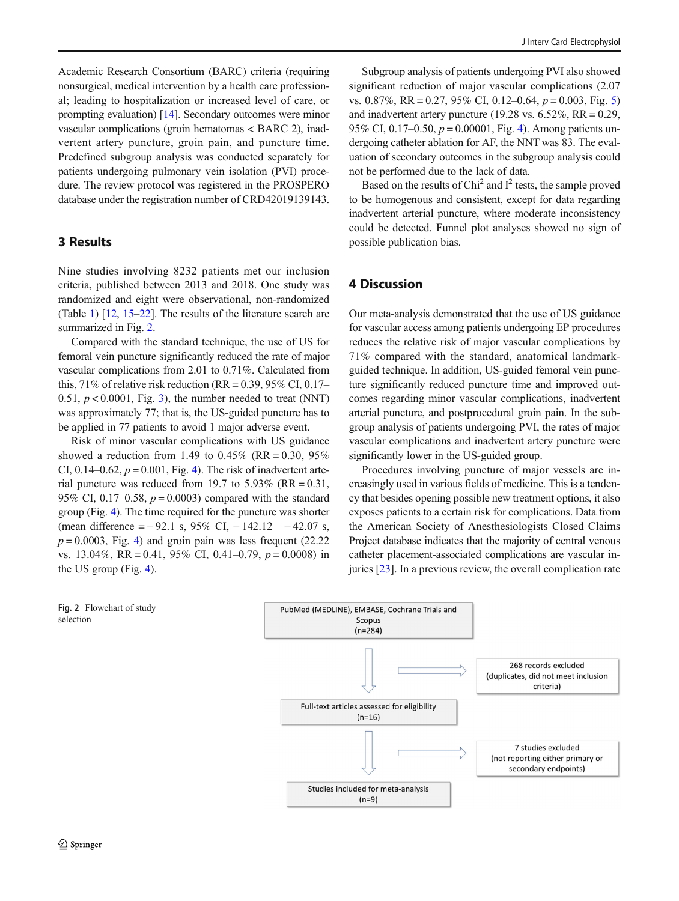Academic Research Consortium (BARC) criteria (requiring nonsurgical, medical intervention by a health care professional; leading to hospitalization or increased level of care, or prompting evaluation) [\[14\]](#page-6-0). Secondary outcomes were minor vascular complications (groin hematomas < BARC 2), inadvertent artery puncture, groin pain, and puncture time. Predefined subgroup analysis was conducted separately for patients undergoing pulmonary vein isolation (PVI) procedure. The review protocol was registered in the PROSPERO database under the registration number of CRD42019139143.

# 3 Results

Nine studies involving 8232 patients met our inclusion criteria, published between 2013 and 2018. One study was randomized and eight were observational, non-randomized (Table [1](#page-2-0)) [[12](#page-6-0), [15](#page-6-0)–[22](#page-6-0)]. The results of the literature search are summarized in Fig. 2.

Compared with the standard technique, the use of US for femoral vein puncture significantly reduced the rate of major vascular complications from 2.01 to 0.71%. Calculated from this, 71% of relative risk reduction (RR =  $0.39,95\%$  CI,  $0.17-$ 0.51,  $p < 0.0001$ , Fig. [3](#page-4-0)), the number needed to treat (NNT) was approximately 77; that is, the US-guided puncture has to be applied in 77 patients to avoid 1 major adverse event.

Risk of minor vascular complications with US guidance showed a reduction from 1.49 to  $0.45\%$  (RR = 0.30, 95%) CI,  $0.14-0.62$  $0.14-0.62$  $0.14-0.62$ ,  $p = 0.001$ , Fig. 4). The risk of inadvertent arterial puncture was reduced from 19.7 to  $5.93\%$  (RR = 0.31, 95% CI, 0.17–0.58,  $p = 0.0003$  compared with the standard group (Fig. [4\)](#page-4-0). The time required for the puncture was shorter (mean difference = − 92.1 s, 95% CI, − 142.12 – − 42.07 s,  $p = 0.0003$ , Fig. [4](#page-4-0)) and groin pain was less frequent (22.22) vs. 13.04%, RR = 0.41, 95% CI, 0.41–0.79,  $p = 0.0008$ ) in the US group (Fig. [4](#page-4-0)).

Subgroup analysis of patients undergoing PVI also showed significant reduction of major vascular complications (2.07 vs.  $0.87\%$ , RR =  $0.27$ ,  $95\%$  $95\%$  $95\%$  CI,  $0.12-0.64$ ,  $p = 0.003$ , Fig. 5) and inadvertent artery puncture (19.28 vs.  $6.52\%$ , RR = 0.29, 95% CI, 0.17–0.50,  $p = 0.00001$ , Fig. [4\)](#page-4-0). Among patients undergoing catheter ablation for AF, the NNT was 83. The evaluation of secondary outcomes in the subgroup analysis could not be performed due to the lack of data.

Based on the results of  $Chi<sup>2</sup>$  and  $I<sup>2</sup>$  tests, the sample proved to be homogenous and consistent, except for data regarding inadvertent arterial puncture, where moderate inconsistency could be detected. Funnel plot analyses showed no sign of possible publication bias.

## 4 Discussion

Our meta-analysis demonstrated that the use of US guidance for vascular access among patients undergoing EP procedures reduces the relative risk of major vascular complications by 71% compared with the standard, anatomical landmarkguided technique. In addition, US-guided femoral vein puncture significantly reduced puncture time and improved outcomes regarding minor vascular complications, inadvertent arterial puncture, and postprocedural groin pain. In the subgroup analysis of patients undergoing PVI, the rates of major vascular complications and inadvertent artery puncture were significantly lower in the US-guided group.

Procedures involving puncture of major vessels are increasingly used in various fields of medicine. This is a tendency that besides opening possible new treatment options, it also exposes patients to a certain risk for complications. Data from the American Society of Anesthesiologists Closed Claims Project database indicates that the majority of central venous catheter placement-associated complications are vascular injuries [[23\]](#page-6-0). In a previous review, the overall complication rate



Fig. 2 Flowchart of study

selection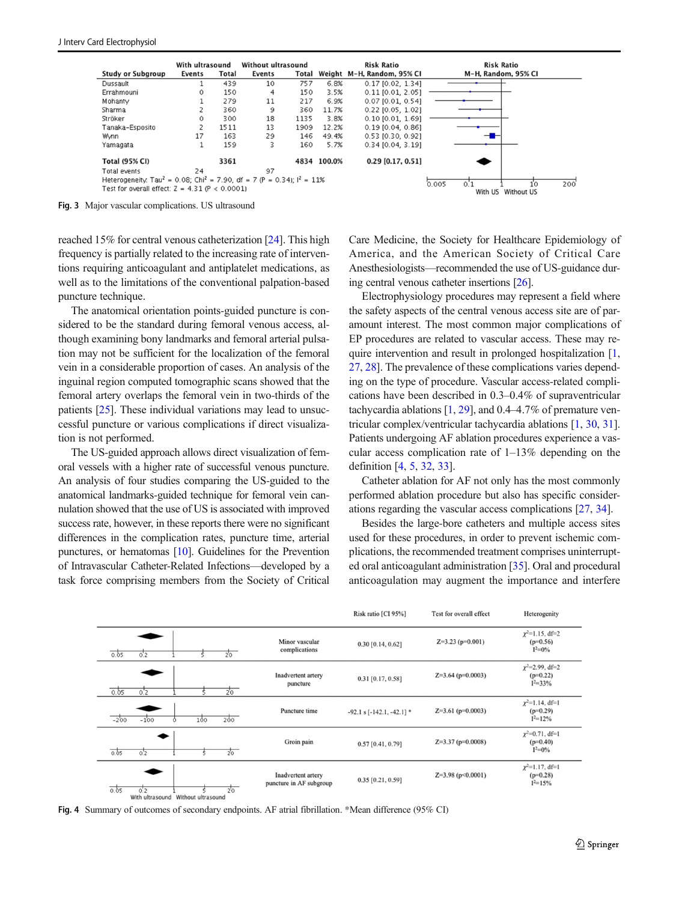<span id="page-4-0"></span>

Fig. 3 Major vascular complications. US ultrasound

reached 15% for central venous catheterization [\[24](#page-6-0)]. This high frequency is partially related to the increasing rate of interventions requiring anticoagulant and antiplatelet medications, as well as to the limitations of the conventional palpation-based puncture technique.

The anatomical orientation points-guided puncture is considered to be the standard during femoral venous access, although examining bony landmarks and femoral arterial pulsation may not be sufficient for the localization of the femoral vein in a considerable proportion of cases. An analysis of the inguinal region computed tomographic scans showed that the femoral artery overlaps the femoral vein in two-thirds of the patients [\[25\]](#page-7-0). These individual variations may lead to unsuccessful puncture or various complications if direct visualization is not performed.

The US-guided approach allows direct visualization of femoral vessels with a higher rate of successful venous puncture. An analysis of four studies comparing the US-guided to the anatomical landmarks-guided technique for femoral vein cannulation showed that the use of US is associated with improved success rate, however, in these reports there were no significant differences in the complication rates, puncture time, arterial punctures, or hematomas [\[10\]](#page-6-0). Guidelines for the Prevention of Intravascular Catheter-Related Infections—developed by a task force comprising members from the Society of Critical Care Medicine, the Society for Healthcare Epidemiology of America, and the American Society of Critical Care Anesthesiologists—recommended the use of US-guidance during central venous catheter insertions [\[26\]](#page-7-0).

Electrophysiology procedures may represent a field where the safety aspects of the central venous access site are of paramount interest. The most common major complications of EP procedures are related to vascular access. These may re-quire intervention and result in prolonged hospitalization [[1,](#page-6-0) [27,](#page-7-0) [28](#page-7-0)]. The prevalence of these complications varies depending on the type of procedure. Vascular access-related complications have been described in 0.3–0.4% of supraventricular tachycardia ablations [[1,](#page-6-0) [29](#page-7-0)], and 0.4–4.7% of premature ventricular complex/ventricular tachycardia ablations [\[1,](#page-6-0) [30,](#page-7-0) [31\]](#page-7-0). Patients undergoing AF ablation procedures experience a vascular access complication rate of 1–13% depending on the definition [\[4](#page-6-0), [5](#page-6-0), [32](#page-7-0), [33\]](#page-7-0).

Catheter ablation for AF not only has the most commonly performed ablation procedure but also has specific considerations regarding the vascular access complications [[27,](#page-7-0) [34\]](#page-7-0).

Besides the large-bore catheters and multiple access sites used for these procedures, in order to prevent ischemic complications, the recommended treatment comprises uninterrupted oral anticoagulant administration [[35\]](#page-7-0). Oral and procedural anticoagulation may augment the importance and interfere



Fig. 4 Summary of outcomes of secondary endpoints. AF atrial fibrillation. \*Mean difference (95% CI)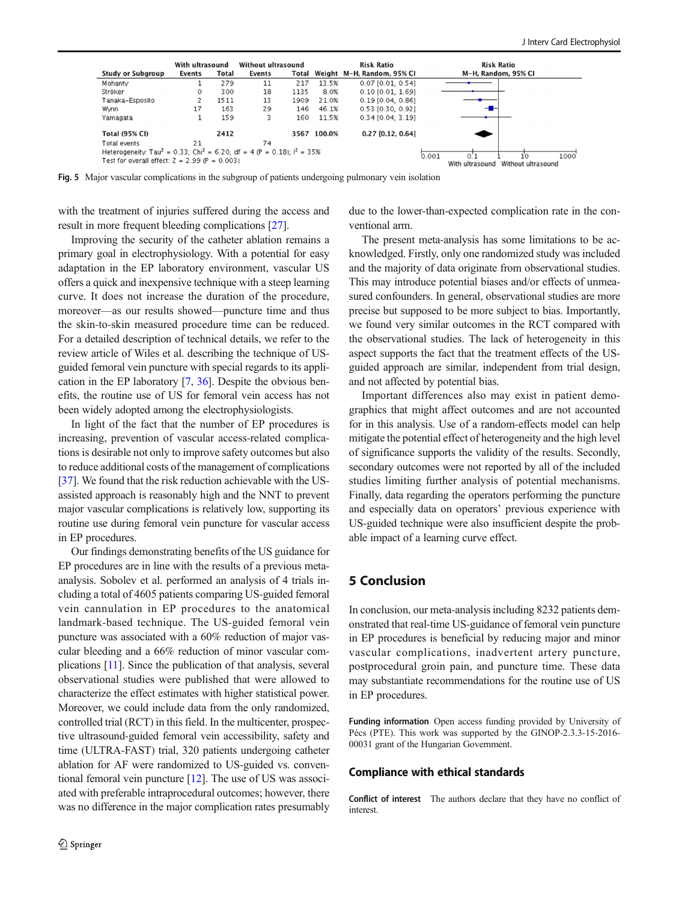<span id="page-5-0"></span>

Fig. 5 Major vascular complications in the subgroup of patients undergoing pulmonary vein isolation

with the treatment of injuries suffered during the access and result in more frequent bleeding complications [\[27](#page-7-0)].

Improving the security of the catheter ablation remains a primary goal in electrophysiology. With a potential for easy adaptation in the EP laboratory environment, vascular US offers a quick and inexpensive technique with a steep learning curve. It does not increase the duration of the procedure, moreover—as our results showed—puncture time and thus the skin-to-skin measured procedure time can be reduced. For a detailed description of technical details, we refer to the review article of Wiles et al. describing the technique of USguided femoral vein puncture with special regards to its application in the EP laboratory [[7](#page-6-0), [36\]](#page-7-0). Despite the obvious benefits, the routine use of US for femoral vein access has not been widely adopted among the electrophysiologists.

In light of the fact that the number of EP procedures is increasing, prevention of vascular access-related complications is desirable not only to improve safety outcomes but also to reduce additional costs of the management of complications [\[37\]](#page-7-0). We found that the risk reduction achievable with the USassisted approach is reasonably high and the NNT to prevent major vascular complications is relatively low, supporting its routine use during femoral vein puncture for vascular access in EP procedures.

Our findings demonstrating benefits of the US guidance for EP procedures are in line with the results of a previous metaanalysis. Sobolev et al. performed an analysis of 4 trials including a total of 4605 patients comparing US-guided femoral vein cannulation in EP procedures to the anatomical landmark-based technique. The US-guided femoral vein puncture was associated with a 60% reduction of major vascular bleeding and a 66% reduction of minor vascular complications [\[11\]](#page-6-0). Since the publication of that analysis, several observational studies were published that were allowed to characterize the effect estimates with higher statistical power. Moreover, we could include data from the only randomized, controlled trial (RCT) in this field. In the multicenter, prospective ultrasound-guided femoral vein accessibility, safety and time (ULTRA-FAST) trial, 320 patients undergoing catheter ablation for AF were randomized to US-guided vs. conventional femoral vein puncture [\[12\]](#page-6-0). The use of US was associated with preferable intraprocedural outcomes; however, there was no difference in the major complication rates presumably due to the lower-than-expected complication rate in the conventional arm.

The present meta-analysis has some limitations to be acknowledged. Firstly, only one randomized study was included and the majority of data originate from observational studies. This may introduce potential biases and/or effects of unmeasured confounders. In general, observational studies are more precise but supposed to be more subject to bias. Importantly, we found very similar outcomes in the RCT compared with the observational studies. The lack of heterogeneity in this aspect supports the fact that the treatment effects of the USguided approach are similar, independent from trial design, and not affected by potential bias.

Important differences also may exist in patient demographics that might affect outcomes and are not accounted for in this analysis. Use of a random-effects model can help mitigate the potential effect of heterogeneity and the high level of significance supports the validity of the results. Secondly, secondary outcomes were not reported by all of the included studies limiting further analysis of potential mechanisms. Finally, data regarding the operators performing the puncture and especially data on operators' previous experience with US-guided technique were also insufficient despite the probable impact of a learning curve effect.

## 5 Conclusion

In conclusion, our meta-analysis including 8232 patients demonstrated that real-time US-guidance of femoral vein puncture in EP procedures is beneficial by reducing major and minor vascular complications, inadvertent artery puncture, postprocedural groin pain, and puncture time. These data may substantiate recommendations for the routine use of US in EP procedures.

Funding information Open access funding provided by University of Pécs (PTE). This work was supported by the GINOP-2.3.3-15-2016- 00031 grant of the Hungarian Government.

#### Compliance with ethical standards

Conflict of interest The authors declare that they have no conflict of interest.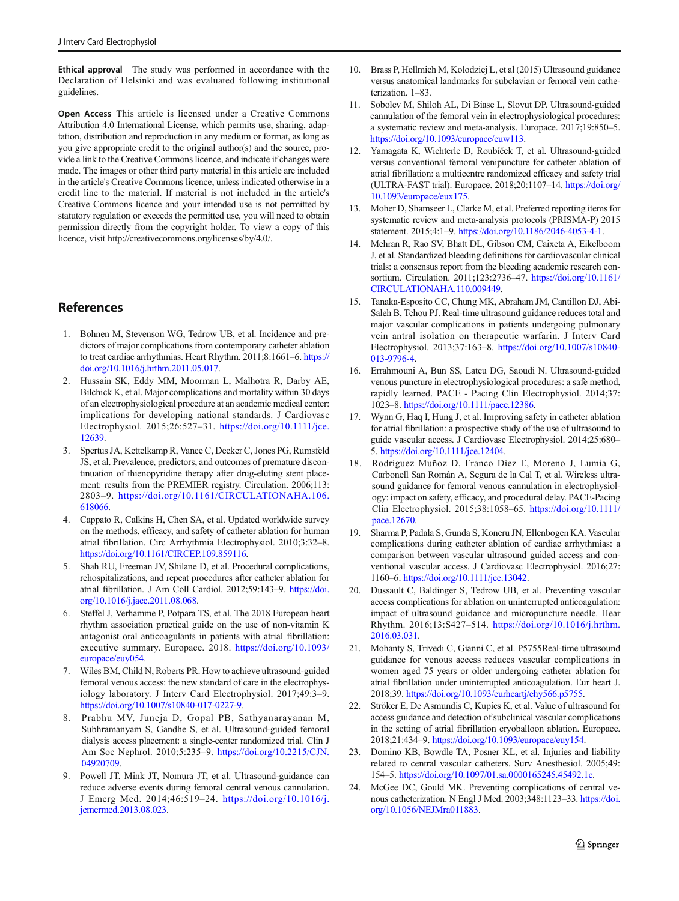<span id="page-6-0"></span>Ethical approval The study was performed in accordance with the Declaration of Helsinki and was evaluated following institutional guidelines.

Open Access This article is licensed under a Creative Commons Attribution 4.0 International License, which permits use, sharing, adaptation, distribution and reproduction in any medium or format, as long as you give appropriate credit to the original author(s) and the source, provide a link to the Creative Commons licence, and indicate if changes were made. The images or other third party material in this article are included in the article's Creative Commons licence, unless indicated otherwise in a credit line to the material. If material is not included in the article's Creative Commons licence and your intended use is not permitted by statutory regulation or exceeds the permitted use, you will need to obtain permission directly from the copyright holder. To view a copy of this licence, visit http://creativecommons.org/licenses/by/4.0/.

# References

- 1. Bohnen M, Stevenson WG, Tedrow UB, et al. Incidence and predictors of major complications from contemporary catheter ablation to treat cardiac arrhythmias. Heart Rhythm. 2011;8:1661–6. [https://](https://doi.org/10.1016/j.hrthm.2011.05.017) [doi.org/10.1016/j.hrthm.2011.05.017.](https://doi.org/10.1016/j.hrthm.2011.05.017)
- 2. Hussain SK, Eddy MM, Moorman L, Malhotra R, Darby AE, Bilchick K, et al. Major complications and mortality within 30 days of an electrophysiological procedure at an academic medical center: implications for developing national standards. J Cardiovasc Electrophysiol. 2015;26:527–31. [https://doi.org/10.1111/jce.](https://doi.org/10.1111/jce.12639) [12639](https://doi.org/10.1111/jce.12639).
- 3. Spertus JA, Kettelkamp R, Vance C, Decker C, Jones PG, Rumsfeld JS, et al. Prevalence, predictors, and outcomes of premature discontinuation of thienopyridine therapy after drug-eluting stent placement: results from the PREMIER registry. Circulation. 2006;113: 2803–9. [https://doi.org/10.1161/CIRCULATIONAHA.106.](https://doi.org/10.1161/CIRCULATIONAHA.106.618066) [618066](https://doi.org/10.1161/CIRCULATIONAHA.106.618066).
- 4. Cappato R, Calkins H, Chen SA, et al. Updated worldwide survey on the methods, efficacy, and safety of catheter ablation for human atrial fibrillation. Circ Arrhythmia Electrophysiol. 2010;3:32–8. [https://doi.org/10.1161/CIRCEP.109.859116.](https://doi.org/10.1161/CIRCEP.109.859116)
- 5. Shah RU, Freeman JV, Shilane D, et al. Procedural complications, rehospitalizations, and repeat procedures after catheter ablation for atrial fibrillation. J Am Coll Cardiol. 2012;59:143–9. [https://doi.](https://doi.org/10.1016/j.jacc.2011.08.068) [org/10.1016/j.jacc.2011.08.068.](https://doi.org/10.1016/j.jacc.2011.08.068)
- 6. Steffel J, Verhamme P, Potpara TS, et al. The 2018 European heart rhythm association practical guide on the use of non-vitamin K antagonist oral anticoagulants in patients with atrial fibrillation: executive summary. Europace. 2018. [https://doi.org/10.1093/](https://doi.org/10.1093/europace/euy054) [europace/euy054](https://doi.org/10.1093/europace/euy054).
- Wiles BM, Child N, Roberts PR. How to achieve ultrasound-guided femoral venous access: the new standard of care in the electrophysiology laboratory. J Interv Card Electrophysiol. 2017;49:3–9. [https://doi.org/10.1007/s10840-017-0227-9.](https://doi.org/10.1007/s10840-017-0227-9)
- 8. Prabhu MV, Juneja D, Gopal PB, Sathyanarayanan M, Subhramanyam S, Gandhe S, et al. Ultrasound-guided femoral dialysis access placement: a single-center randomized trial. Clin J Am Soc Nephrol. 2010;5:235–9. [https://doi.org/10.2215/CJN.](https://doi.org/10.2215/CJN.04920709) [04920709.](https://doi.org/10.2215/CJN.04920709)
- 9. Powell JT, Mink JT, Nomura JT, et al. Ultrasound-guidance can reduce adverse events during femoral central venous cannulation. J Emerg Med. 2014;46:519–24. [https://doi.org/10.1016/j.](https://doi.org/10.1016/j.jemermed.2013.08.023) [jemermed.2013.08.023](https://doi.org/10.1016/j.jemermed.2013.08.023).
- 10. Brass P, Hellmich M, Kolodziej L, et al (2015) Ultrasound guidance versus anatomical landmarks for subclavian or femoral vein catheterization. 1–83.
- 11. Sobolev M, Shiloh AL, Di Biase L, Slovut DP. Ultrasound-guided cannulation of the femoral vein in electrophysiological procedures: a systematic review and meta-analysis. Europace. 2017;19:850–5. <https://doi.org/10.1093/europace/euw113>.
- 12. Yamagata K, Wichterle D, Roubíček T, et al. Ultrasound-guided versus conventional femoral venipuncture for catheter ablation of atrial fibrillation: a multicentre randomized efficacy and safety trial (ULTRA-FAST trial). Europace. 2018;20:1107–14. [https://doi.org/](https://doi.org/10.1093/europace/eux175) [10.1093/europace/eux175](https://doi.org/10.1093/europace/eux175).
- 13. Moher D, Shamseer L, Clarke M, et al. Preferred reporting items for systematic review and meta-analysis protocols (PRISMA-P) 2015 statement. 2015;4:1–9. <https://doi.org/10.1186/2046-4053-4-1>.
- 14. Mehran R, Rao SV, Bhatt DL, Gibson CM, Caixeta A, Eikelboom J, et al. Standardized bleeding definitions for cardiovascular clinical trials: a consensus report from the bleeding academic research consortium. Circulation. 2011;123:2736–47. [https://doi.org/10.1161/](https://doi.org/10.1161/CIRCULATIONAHA.110.009449) [CIRCULATIONAHA.110.009449](https://doi.org/10.1161/CIRCULATIONAHA.110.009449).
- 15. Tanaka-Esposito CC, Chung MK, Abraham JM, Cantillon DJ, Abi-Saleh B, Tchou PJ. Real-time ultrasound guidance reduces total and major vascular complications in patients undergoing pulmonary vein antral isolation on therapeutic warfarin. J Interv Card Electrophysiol. 2013;37:163–8. [https://doi.org/10.1007/s10840-](https://doi.org/10.1007/s10840-013-9796-4) [013-9796-4.](https://doi.org/10.1007/s10840-013-9796-4)
- 16. Errahmouni A, Bun SS, Latcu DG, Saoudi N. Ultrasound-guided venous puncture in electrophysiological procedures: a safe method, rapidly learned. PACE - Pacing Clin Electrophysiol. 2014;37: 1023–8. <https://doi.org/10.1111/pace.12386>.
- 17. Wynn G, Haq I, Hung J, et al. Improving safety in catheter ablation for atrial fibrillation: a prospective study of the use of ultrasound to guide vascular access. J Cardiovasc Electrophysiol. 2014;25:680– 5. [https://doi.org/10.1111/jce.12404.](https://doi.org/10.1111/jce.12404)
- 18. Rodríguez Muñoz D, Franco Díez E, Moreno J, Lumia G, Carbonell San Román A, Segura de la Cal T, et al. Wireless ultrasound guidance for femoral venous cannulation in electrophysiology: impact on safety, efficacy, and procedural delay. PACE-Pacing Clin Electrophysiol. 2015;38:1058–65. [https://doi.org/10.1111/](https://doi.org/10.1111/pace.12670) [pace.12670.](https://doi.org/10.1111/pace.12670)
- 19. Sharma P, Padala S, Gunda S, Koneru JN, Ellenbogen KA. Vascular complications during catheter ablation of cardiac arrhythmias: a comparison between vascular ultrasound guided access and conventional vascular access. J Cardiovasc Electrophysiol. 2016;27: 1160–6. <https://doi.org/10.1111/jce.13042>.
- 20. Dussault C, Baldinger S, Tedrow UB, et al. Preventing vascular access complications for ablation on uninterrupted anticoagulation: impact of ultrasound guidance and micropuncture needle. Hear Rhythm. 2016;13:S427–514. [https://doi.org/10.1016/j.hrthm.](https://doi.org/10.1016/j.hrthm.2016.03.031) [2016.03.031.](https://doi.org/10.1016/j.hrthm.2016.03.031)
- 21. Mohanty S, Trivedi C, Gianni C, et al. P5755Real-time ultrasound guidance for venous access reduces vascular complications in women aged 75 years or older undergoing catheter ablation for atrial fibrillation under uninterrupted anticoagulation. Eur heart J. 2018;39. <https://doi.org/10.1093/eurheartj/ehy566.p5755>.
- 22. Ströker E, De Asmundis C, Kupics K, et al. Value of ultrasound for access guidance and detection of subclinical vascular complications in the setting of atrial fibrillation cryoballoon ablation. Europace. 2018;21:434–9. <https://doi.org/10.1093/europace/euy154>.
- 23. Domino KB, Bowdle TA, Posner KL, et al. Injuries and liability related to central vascular catheters. Surv Anesthesiol. 2005;49: 154–5. [https://doi.org/10.1097/01.sa.0000165245.45492.1c.](https://doi.org/10.1097/01.sa.0000165245.45492.1c)
- 24. McGee DC, Gould MK. Preventing complications of central venous catheterization. N Engl J Med. 2003;348:1123–33. [https://doi.](https://doi.org/10.1056/NEJMra011883) [org/10.1056/NEJMra011883.](https://doi.org/10.1056/NEJMra011883)